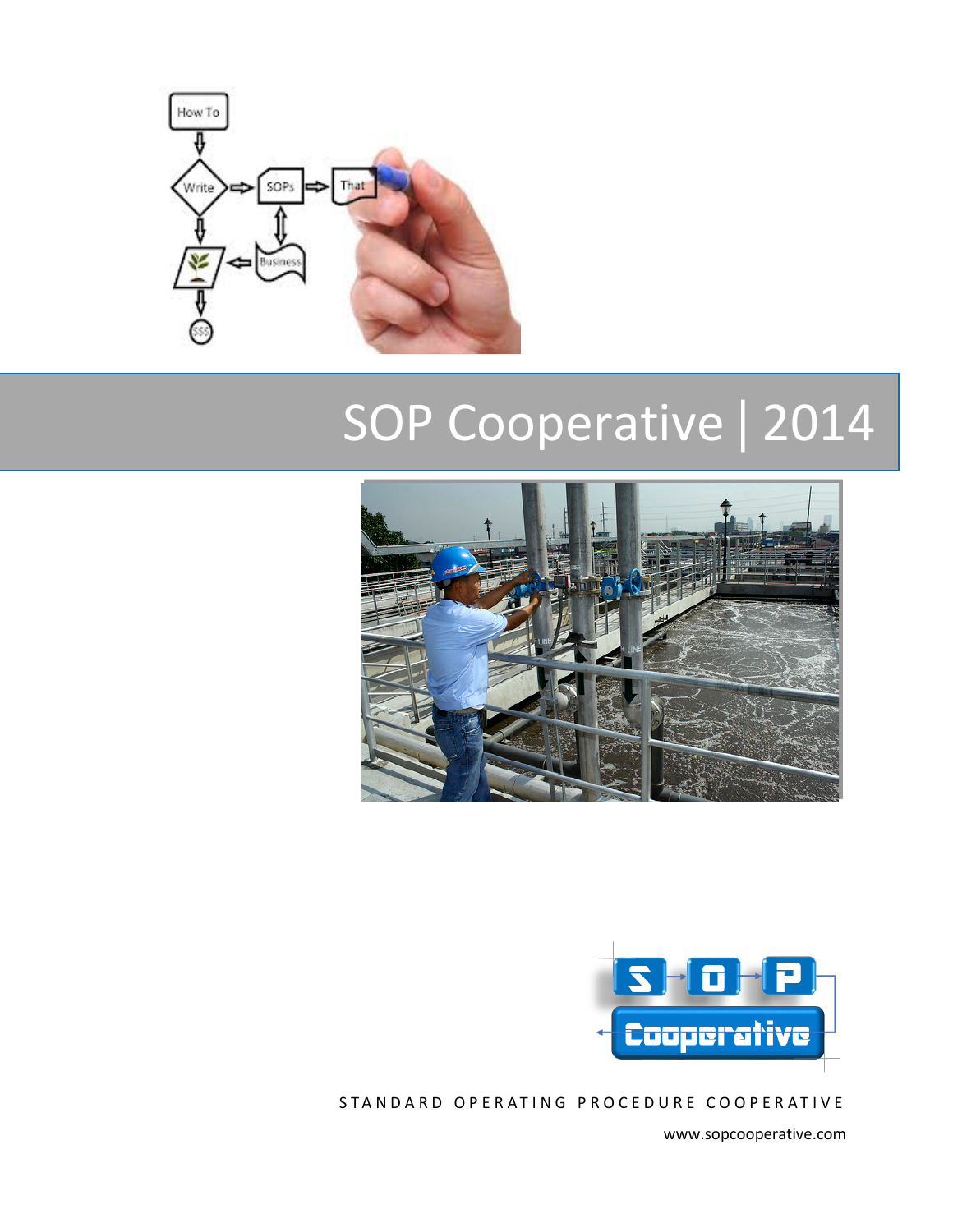

# SOP Cooperative | 2014





STANDARD OPERATING PROCEDURE COOPERATIVE

www.sopcooperative.com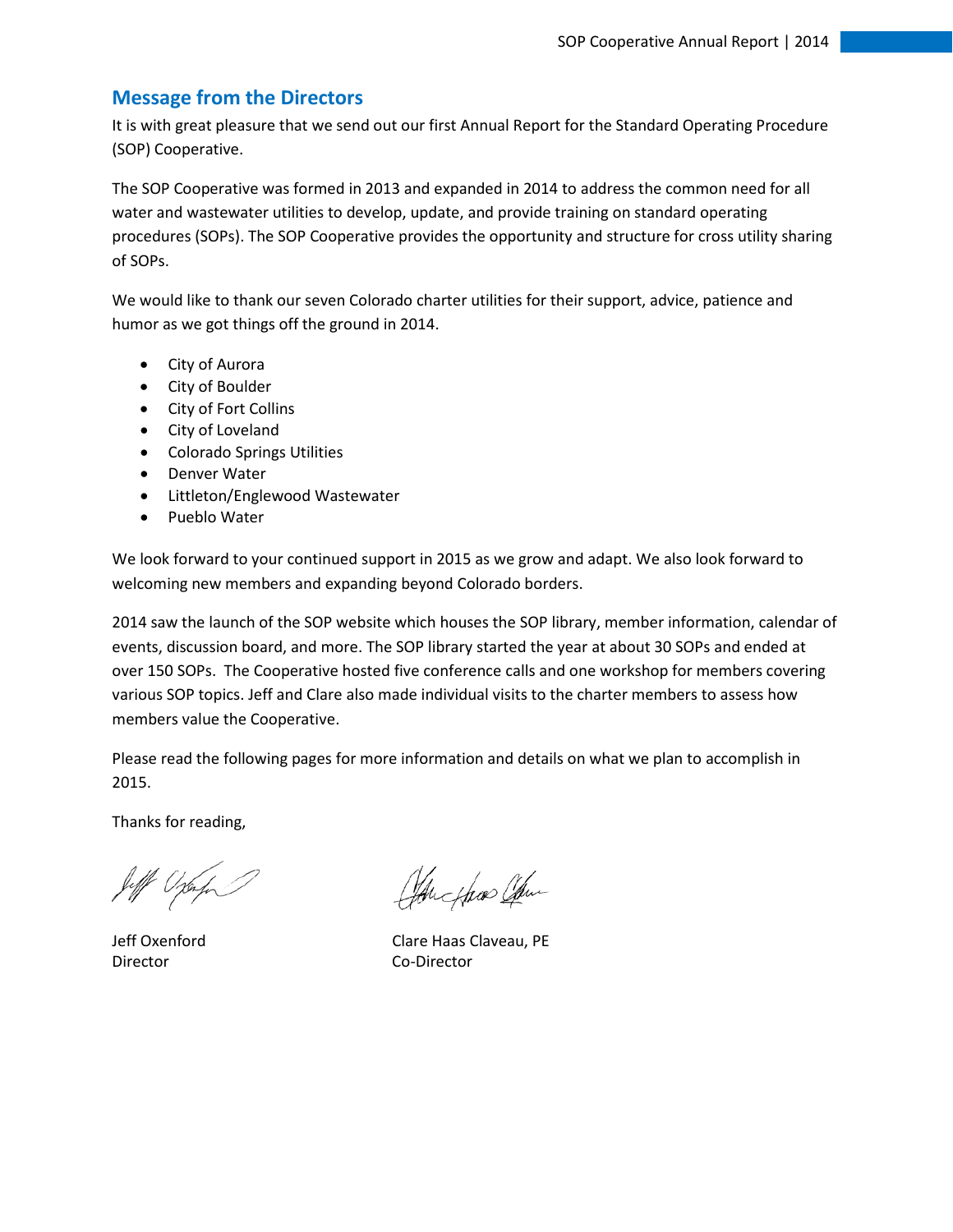### **Message from the Directors**

It is with great pleasure that we send out our first Annual Report for the Standard Operating Procedure (SOP) Cooperative.

The SOP Cooperative was formed in 2013 and expanded in 2014 to address the common need for all water and wastewater utilities to develop, update, and provide training on standard operating procedures (SOPs). The SOP Cooperative provides the opportunity and structure for cross utility sharing of SOPs.

We would like to thank our seven Colorado charter utilities for their support, advice, patience and humor as we got things off the ground in 2014.

- City of Aurora
- City of Boulder
- City of Fort Collins
- City of Loveland
- Colorado Springs Utilities
- Denver Water
- Littleton/Englewood Wastewater
- Pueblo Water

We look forward to your continued support in 2015 as we grow and adapt. We also look forward to welcoming new members and expanding beyond Colorado borders.

2014 saw the launch of the SOP website which houses the SOP library, member information, calendar of events, discussion board, and more. The SOP library started the year at about 30 SOPs and ended at over 150 SOPs. The Cooperative hosted five conference calls and one workshop for members covering various SOP topics. Jeff and Clare also made individual visits to the charter members to assess how members value the Cooperative.

Please read the following pages for more information and details on what we plan to accomplish in 2015.

Thanks for reading,

Jeff Ophy

Director Co-Director

Changlas Com

Jeff Oxenford Clare Haas Claveau, PE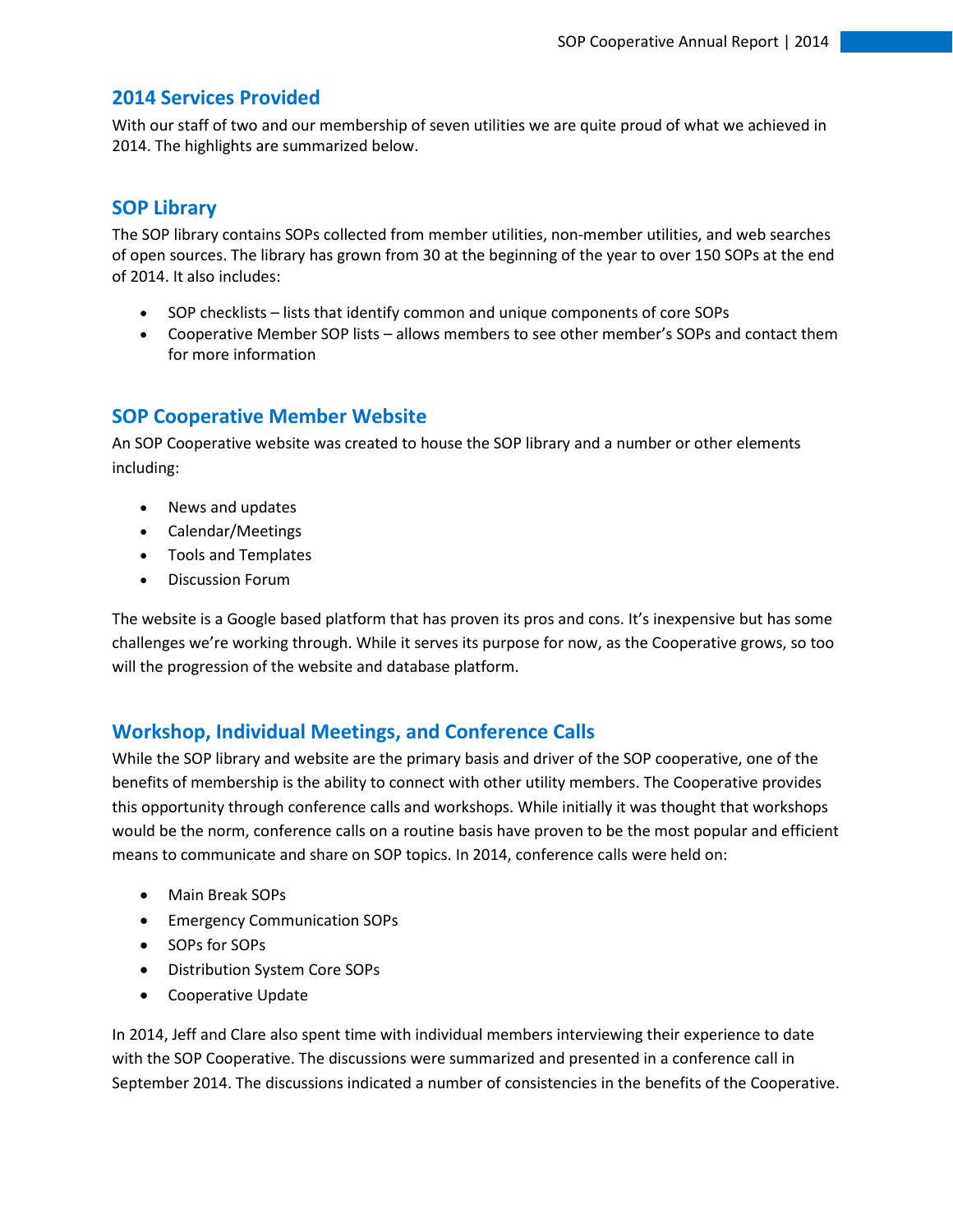### **2014 Services Provided**

With our staff of two and our membership of seven utilities we are quite proud of what we achieved in 2014. The highlights are summarized below.

# **SOP Library**

The SOP library contains SOPs collected from member utilities, non-member utilities, and web searches of open sources. The library has grown from 30 at the beginning of the year to over 150 SOPs at the end of 2014. It also includes:

- SOP checklists lists that identify common and unique components of core SOPs
- Cooperative Member SOP lists allows members to see other member's SOPs and contact them for more information

# **SOP Cooperative Member Website**

An SOP Cooperative website was created to house the SOP library and a number or other elements including:

- News and updates
- Calendar/Meetings
- Tools and Templates
- Discussion Forum

The website is a Google based platform that has proven its pros and cons. It's inexpensive but has some challenges we're working through. While it serves its purpose for now, as the Cooperative grows, so too will the progression of the website and database platform.

# **Workshop, Individual Meetings, and Conference Calls**

While the SOP library and website are the primary basis and driver of the SOP cooperative, one of the benefits of membership is the ability to connect with other utility members. The Cooperative provides this opportunity through conference calls and workshops. While initially it was thought that workshops would be the norm, conference calls on a routine basis have proven to be the most popular and efficient means to communicate and share on SOP topics. In 2014, conference calls were held on:

- Main Break SOPs
- Emergency Communication SOPs
- SOPs for SOPs
- Distribution System Core SOPs
- Cooperative Update

In 2014, Jeff and Clare also spent time with individual members interviewing their experience to date with the SOP Cooperative. The discussions were summarized and presented in a conference call in September 2014. The discussions indicated a number of consistencies in the benefits of the Cooperative.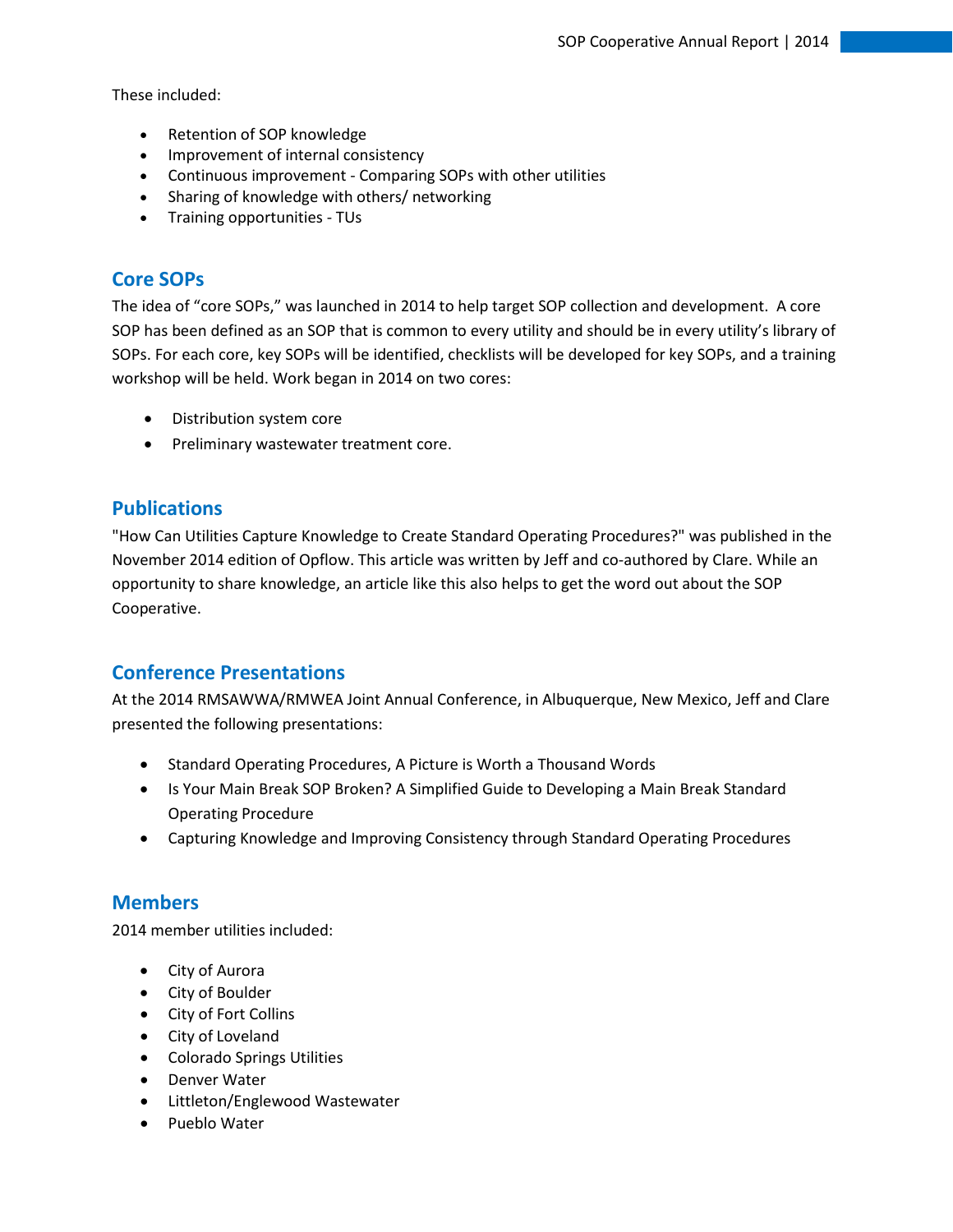These included:

- Retention of SOP knowledge
- Improvement of internal consistency
- Continuous improvement Comparing SOPs with other utilities
- Sharing of knowledge with others/ networking
- Training opportunities TUs

# **Core SOPs**

The idea of "core SOPs," was launched in 2014 to help target SOP collection and development. A core SOP has been defined as an SOP that is common to every utility and should be in every utility's library of SOPs. For each core, key SOPs will be identified, checklists will be developed for key SOPs, and a training workshop will be held. Work began in 2014 on two cores:

- Distribution system core
- Preliminary wastewater treatment core.

### **Publications**

"How Can Utilities Capture Knowledge to Create Standard Operating Procedures?" was published in the November 2014 edition of Opflow. This article was written by Jeff and co-authored by Clare. While an opportunity to share knowledge, an article like this also helps to get the word out about the SOP Cooperative.

# **Conference Presentations**

At the 2014 RMSAWWA/RMWEA Joint Annual Conference, in Albuquerque, New Mexico, Jeff and Clare presented the following presentations:

- Standard Operating Procedures, A Picture is Worth a Thousand Words
- Is Your Main Break SOP Broken? A Simplified Guide to Developing a Main Break Standard Operating Procedure
- Capturing Knowledge and Improving Consistency through Standard Operating Procedures

# **Members**

2014 member utilities included:

- City of Aurora
- City of Boulder
- City of Fort Collins
- City of Loveland
- Colorado Springs Utilities
- Denver Water
- Littleton/Englewood Wastewater
- Pueblo Water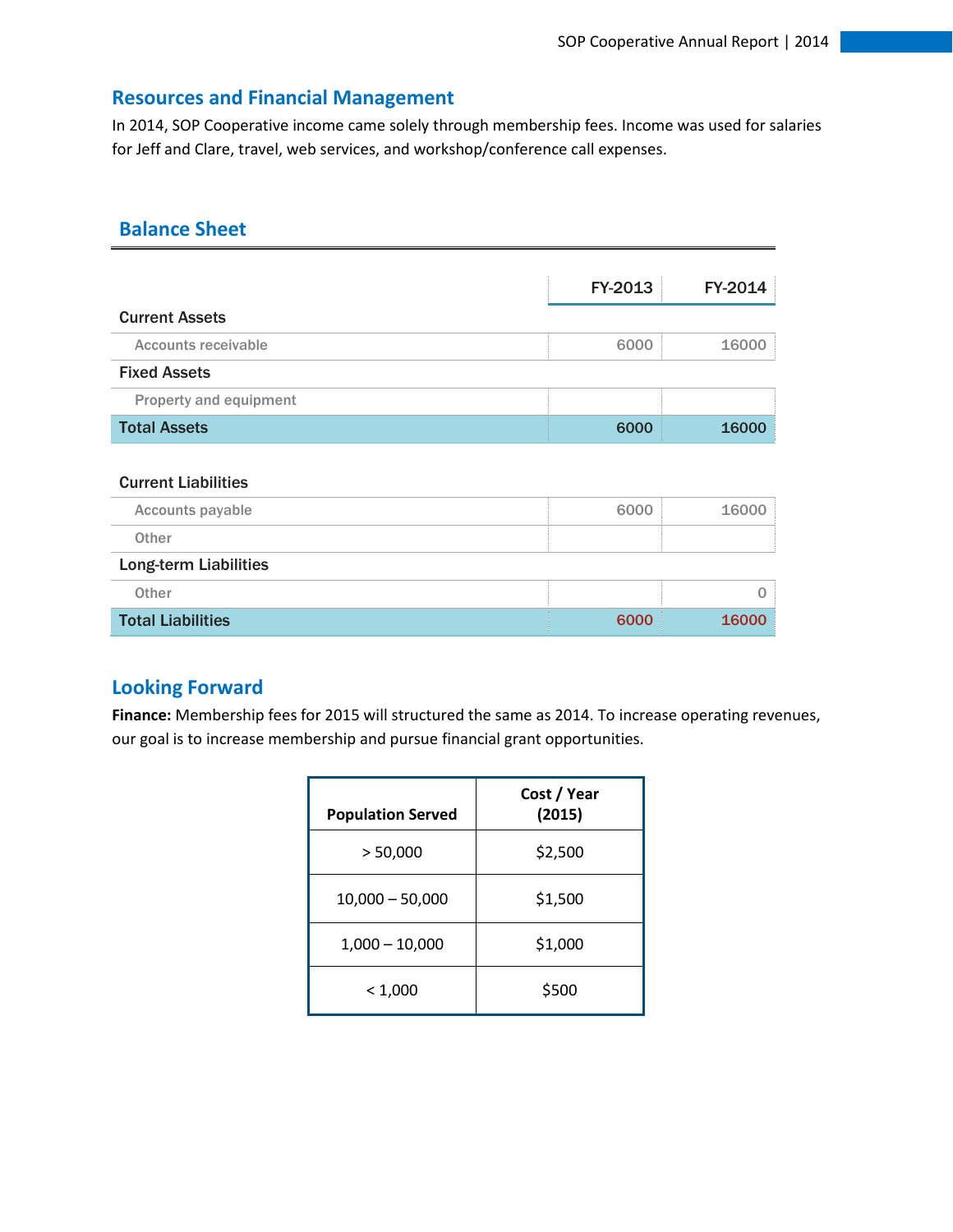# **Resources and Financial Management**

In 2014, SOP Cooperative income came solely through membership fees. Income was used for salaries for Jeff and Clare, travel, web services, and workshop/conference call expenses.

# **Balance Sheet**

|                               | FY-2013 | FY-2014  |
|-------------------------------|---------|----------|
| <b>Current Assets</b>         |         |          |
| <b>Accounts receivable</b>    | 6000    | 16000    |
| <b>Fixed Assets</b>           |         |          |
| <b>Property and equipment</b> |         |          |
| <b>Total Assets</b>           | 6000    | 16000    |
|                               |         |          |
| <b>Current Liabilities</b>    |         |          |
| <b>Accounts payable</b>       | 6000    | 16000    |
| Other                         |         |          |
| <b>Long-term Liabilities</b>  |         |          |
| Other                         |         | $\Omega$ |
| <b>Total Liabilities</b>      | 6000    | 16000    |

# **Looking Forward**

**Finance:** Membership fees for 2015 will structured the same as 2014. To increase operating revenues, our goal is to increase membership and pursue financial grant opportunities.

| <b>Population Served</b> | Cost / Year<br>(2015) |
|--------------------------|-----------------------|
| > 50,000                 | \$2,500               |
| $10,000 - 50,000$        | \$1,500               |
| $1,000 - 10,000$         | \$1,000               |
| < 1,000                  | \$500                 |